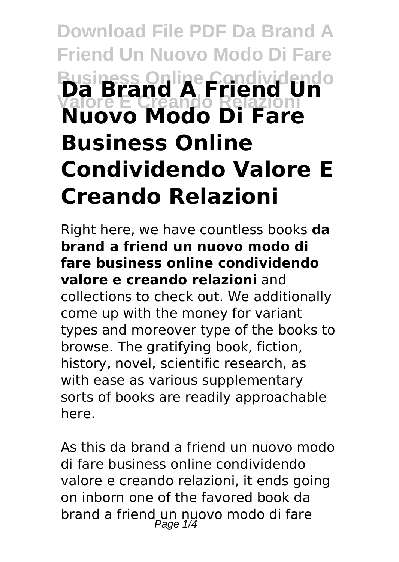# **Download File PDF Da Brand A Friend Un Nuovo Modo Di Fare Business Online Condividendo Valore E Creando Relazioni Da Brand A Friend Un Nuovo Modo Di Fare Business Online Condividendo Valore E Creando Relazioni**

Right here, we have countless books **da brand a friend un nuovo modo di fare business online condividendo valore e creando relazioni** and collections to check out. We additionally come up with the money for variant types and moreover type of the books to browse. The gratifying book, fiction, history, novel, scientific research, as with ease as various supplementary sorts of books are readily approachable here.

As this da brand a friend un nuovo modo di fare business online condividendo valore e creando relazioni, it ends going on inborn one of the favored book da brand a friend un nuovo modo di fare Page  $1/4$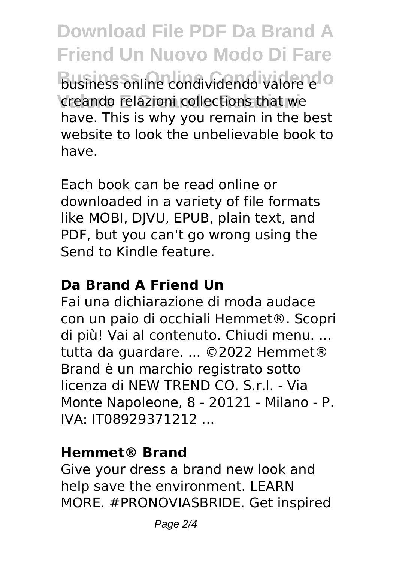**Download File PDF Da Brand A Friend Un Nuovo Modo Di Fare Business Online Condividendo** business online condividendo valore e creando relazioni collections that we have. This is why you remain in the best website to look the unbelievable book to have.

Each book can be read online or downloaded in a variety of file formats like MOBI, DJVU, EPUB, plain text, and PDF, but you can't go wrong using the Send to Kindle feature.

## **Da Brand A Friend Un**

Fai una dichiarazione di moda audace con un paio di occhiali Hemmet®. Scopri di più! Vai al contenuto. Chiudi menu. ... tutta da guardare. ... ©2022 Hemmet® Brand è un marchio registrato sotto licenza di NEW TREND CO. S.r.l. - Via Monte Napoleone, 8 - 20121 - Milano - P. IVA: IT08929371212 ...

#### **Hemmet® Brand**

Give your dress a brand new look and help save the environment. LEARN MORE. #PRONOVIASBRIDE. Get inspired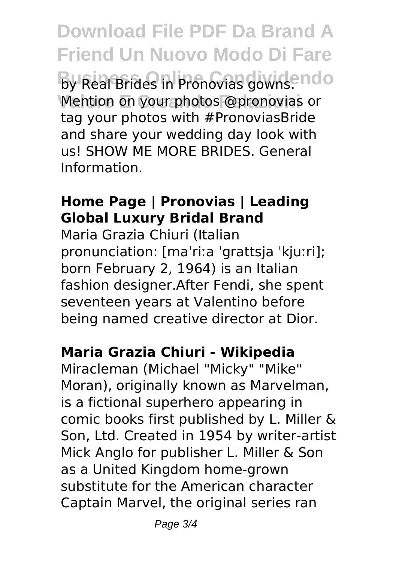**Download File PDF Da Brand A Friend Un Nuovo Modo Di Fare By Real Brides in Pronovias gowns. ndo** Mention on your photos @pronovias or tag your photos with #PronoviasBride and share your wedding day look with us! SHOW ME MORE BRIDES. General Information.

### **Home Page | Pronovias | Leading Global Luxury Bridal Brand**

Maria Grazia Chiuri (Italian pronunciation: [maˈriːa ˈgrattsja ˈkjuːri]; born February 2, 1964) is an Italian fashion designer.After Fendi, she spent seventeen years at Valentino before being named creative director at Dior.

## **Maria Grazia Chiuri - Wikipedia**

Miracleman (Michael "Micky" "Mike" Moran), originally known as Marvelman, is a fictional superhero appearing in comic books first published by L. Miller & Son, Ltd. Created in 1954 by writer-artist Mick Anglo for publisher L. Miller & Son as a United Kingdom home-grown substitute for the American character Captain Marvel, the original series ran